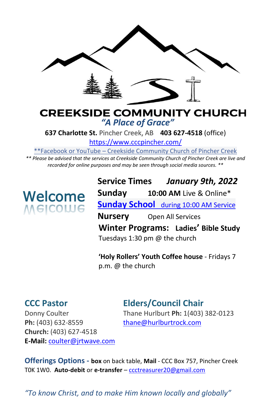

#### **CREEKSIDE COMMUNITY CHURCH** *"A Place of Grace"*

**637 Charlotte St.** Pincher Creek, AB **403 627-4518** (office)

<https://www.cccpincher.com/>

\*\*Facebook or YouTube – Creekside Community Church of Pincher Creek

*\*\* Please be advised that the services at Creekside Community Church of Pincher Creek are live and recorded for online purposes and may be seen through social media sources. \*\**

# **Welcome**<br>Melcolue

**Service Times** *January 9th, 2022* **Sunday 10:00 AM** Live & Online\* **Sunday School** during 10:00 AM Service **Nursery** Open All Services **Winter Programs: Ladies' Bible Study** Tuesdays 1:30 pm @ the church

**'Holy Rollers' Youth Coffee house** - Fridays 7 p.m. @ the church

### **CCC Pastor Elders/Council Chair**

Ph: (403) 632-8559 [thane@hurlburtrock.com](mailto:thane@hurlburtrock.com) **Church:** (403) 627-4518 **E-Mail:** [coulter@jrtwave.com](mailto:coulter@jrtwave.com)

Donny Coulter Thane Hurlburt **Ph:** 1(403) 382-0123

**Offerings Options - box** on back table, **Mail** - CCC Box 757, Pincher Creek T0K 1W0. **Auto-debit** or **e-transfer** – [ccctreasurer20@gmail.com](mailto:ccctreasurer20@gmail.com)

*"To know Christ, and to make Him known locally and globally"*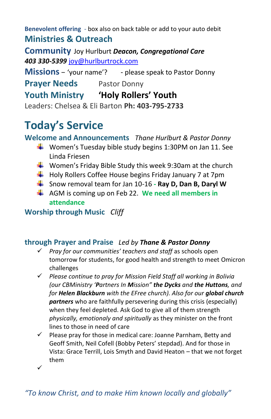**Benevolent offering** - box also on back table or add to your auto debit **Ministries & Outreach** 

**Community** Joy Hurlburt *Deacon, Congregational Care 403 330-5399* [joy@hurlburtrock.com](mailto:joy@hurlburtrock.com)

**Missions** – 'your name'? - please speak to Pastor Donny

**Prayer Needs** Pastor Donny

**Youth Ministry 'Holy Rollers' Youth**

Leaders: Chelsea & Eli Barton **Ph: 403-795-2733**

## **Today's Service**

**Welcome and Announcements** *Thane Hurlburt & Pastor Donny*

- **Women's Tuesday bible study begins 1:30PM on Jan 11. See** Linda Friesen
- $\ddot$  Women's Friday Bible Study this week 9:30am at the church
- $\downarrow$  Holy Rollers Coffee House begins Friday January 7 at 7pm
- Snow removal team for Jan 10-16 **- Ray D, Dan B, Daryl W**
- AGM is coming up on Feb 22. **We need all members in attendance**

**Worship through Music** *Cliff*

#### **through Prayer and Praise** *Led by Thane & Pastor Donny*

- ✓ *Pray for our communities' teachers and staff* as schools open tomorrow for students, for good health and strength to meet Omicron challenges
- ✓ *Please continue to pray for Mission Field Staff all working in Bolivia (our CBMinistry 'Partners In Mission" the Dycks and the Huttons, and for Helen Blackburn with the EFree church). Also for our global church partners* who are faithfully persevering during this crisis (especially) when they feel depleted. Ask God to give all of them strength *physically, emotionaly and spiritually* as they minister on the front lines to those in need of care
- $\checkmark$  Please pray for those in medical care: Joanne Parnham, Betty and Geoff Smith, Neil Cofell (Bobby Peters' stepdad). And for those in Vista: Grace Terrill, Lois Smyth and David Heaton – that we not forget them
- ✓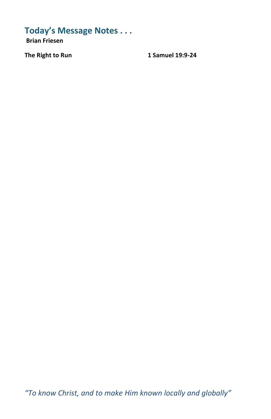#### **Today's Message Notes . . .**

**Brian Friesen** 

The Right to Run 1 Samuel 19:9-24

*"To know Christ, and to make Him known locally and globally"*